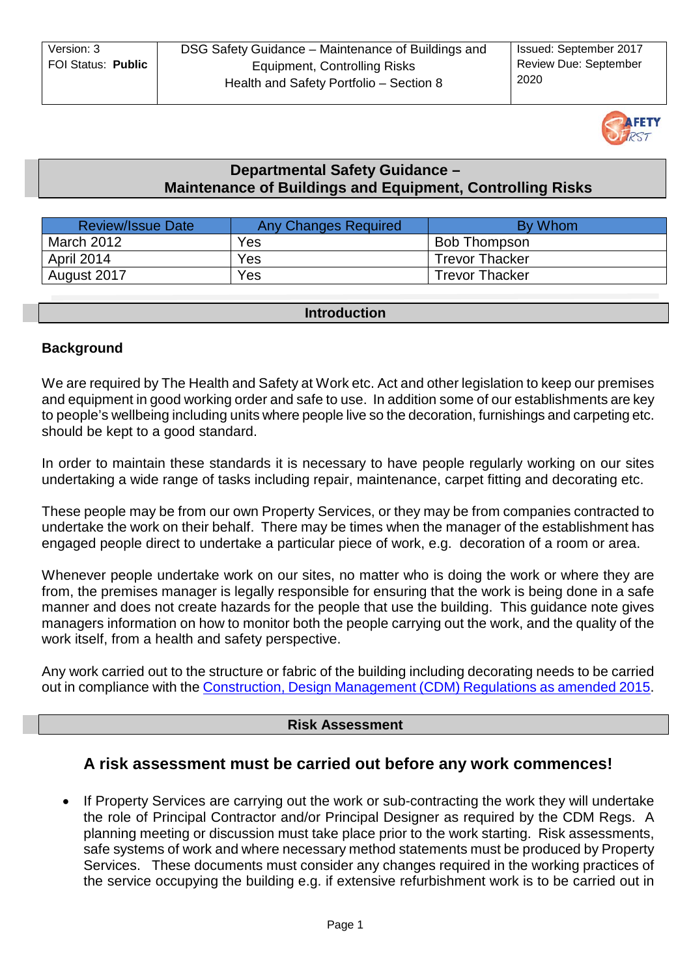| Version: 3         | DSG Safety Guidance - Maintenance of Buildings and | <b>Issued: September 2017</b> |
|--------------------|----------------------------------------------------|-------------------------------|
| FOI Status: Public | Equipment, Controlling Risks                       | <b>Review Due: September</b>  |
|                    | Health and Safety Portfolio - Section 8            | 2020                          |



## **Departmental Safety Guidance – Maintenance of Buildings and Equipment, Controlling Risks**

| <b>Review/Issue Date</b> | <b>Any Changes Required</b> | <b>By Whom</b>        |
|--------------------------|-----------------------------|-----------------------|
| March 2012               | Yes                         | Bob Thompson          |
| April 2014               | Yes                         | <b>Trevor Thacker</b> |
| August 2017              | Yes                         | <b>Trevor Thacker</b> |

## **Introduction**

## **Background**

We are required by The Health and Safety at Work etc. Act and other legislation to keep our premises and equipment in good working order and safe to use. In addition some of our establishments are key to people's wellbeing including units where people live so the decoration, furnishings and carpeting etc. should be kept to a good standard.

In order to maintain these standards it is necessary to have people regularly working on our sites undertaking a wide range of tasks including repair, maintenance, carpet fitting and decorating etc.

These people may be from our own Property Services, or they may be from companies contracted to undertake the work on their behalf. There may be times when the manager of the establishment has engaged people direct to undertake a particular piece of work, e.g. decoration of a room or area.

Whenever people undertake work on our sites, no matter who is doing the work or where they are from, the premises manager is legally responsible for ensuring that the work is being done in a safe manner and does not create hazards for the people that use the building. This guidance note gives managers information on how to monitor both the people carrying out the work, and the quality of the work itself, from a health and safety perspective.

Any work carried out to the structure or fabric of the building including decorating needs to be carried out in compliance with the [Construction, Design Management \(CDM\) Regulations as amended 2015.](http://www.legislation.gov.uk/uksi/2015/51/pdfs/uksi_20150051_en.pdf)

## **Risk Assessment**

# **A risk assessment must be carried out before any work commences!**

• If Property Services are carrying out the work or sub-contracting the work they will undertake the role of Principal Contractor and/or Principal Designer as required by the CDM Regs. A planning meeting or discussion must take place prior to the work starting. Risk assessments, safe systems of work and where necessary method statements must be produced by Property Services. These documents must consider any changes required in the working practices of the service occupying the building e.g. if extensive refurbishment work is to be carried out in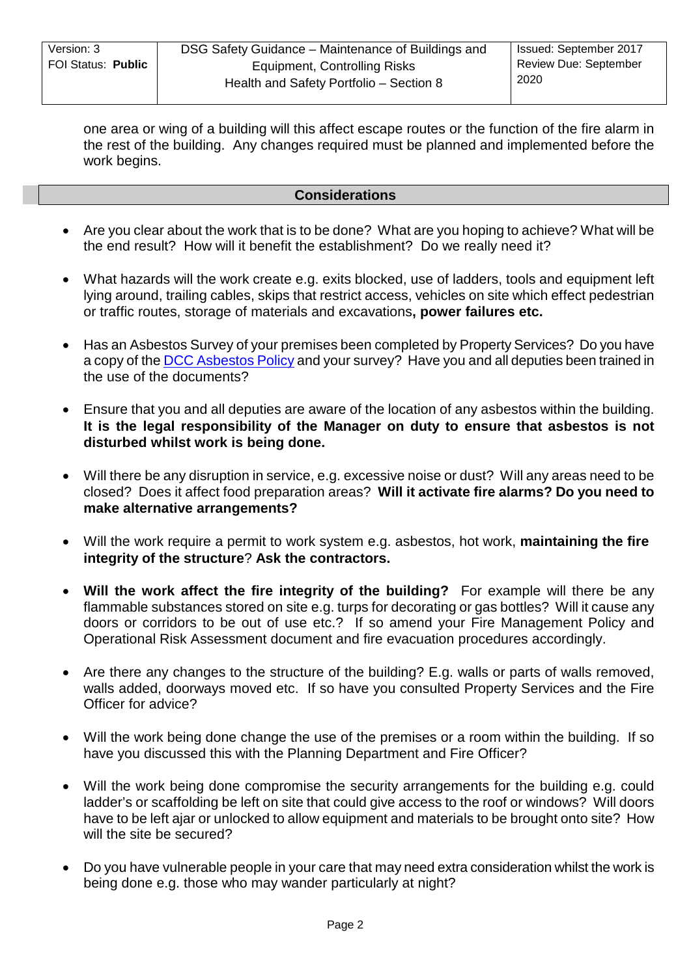one area or wing of a building will this affect escape routes or the function of the fire alarm in the rest of the building. Any changes required must be planned and implemented before the work begins.

#### **Considerations**

- Are you clear about the work that is to be done? What are you hoping to achieve? What will be the end result? How will it benefit the establishment? Do we really need it?
- What hazards will the work create e.g. exits blocked, use of ladders, tools and equipment left lying around, trailing cables, skips that restrict access, vehicles on site which effect pedestrian or traffic routes, storage of materials and excavations**, power failures etc.**
- Has an Asbestos Survey of your premises been completed by Property Services? Do you have a copy of the [DCC Asbestos Policy](http://dnet/policies_and_procedures/employee_wellbeing/health_safety/default.asp) and your survey? Have you and all deputies been trained in the use of the documents?
- Ensure that you and all deputies are aware of the location of any asbestos within the building. **It is the legal responsibility of the Manager on duty to ensure that asbestos is not disturbed whilst work is being done.**
- Will there be any disruption in service, e.g. excessive noise or dust? Will any areas need to be closed? Does it affect food preparation areas? **Will it activate fire alarms? Do you need to make alternative arrangements?**
- Will the work require a permit to work system e.g. asbestos, hot work, **maintaining the fire integrity of the structure**? **Ask the contractors.**
- **Will the work affect the fire integrity of the building?** For example will there be any flammable substances stored on site e.g. turps for decorating or gas bottles? Will it cause any doors or corridors to be out of use etc.? If so amend your Fire Management Policy and Operational Risk Assessment document and fire evacuation procedures accordingly.
- Are there any changes to the structure of the building? E.g. walls or parts of walls removed, walls added, doorways moved etc. If so have you consulted Property Services and the Fire Officer for advice?
- Will the work being done change the use of the premises or a room within the building. If so have you discussed this with the Planning Department and Fire Officer?
- Will the work being done compromise the security arrangements for the building e.g. could ladder's or scaffolding be left on site that could give access to the roof or windows? Will doors have to be left ajar or unlocked to allow equipment and materials to be brought onto site? How will the site be secured?
- Do you have vulnerable people in your care that may need extra consideration whilst the work is being done e.g. those who may wander particularly at night?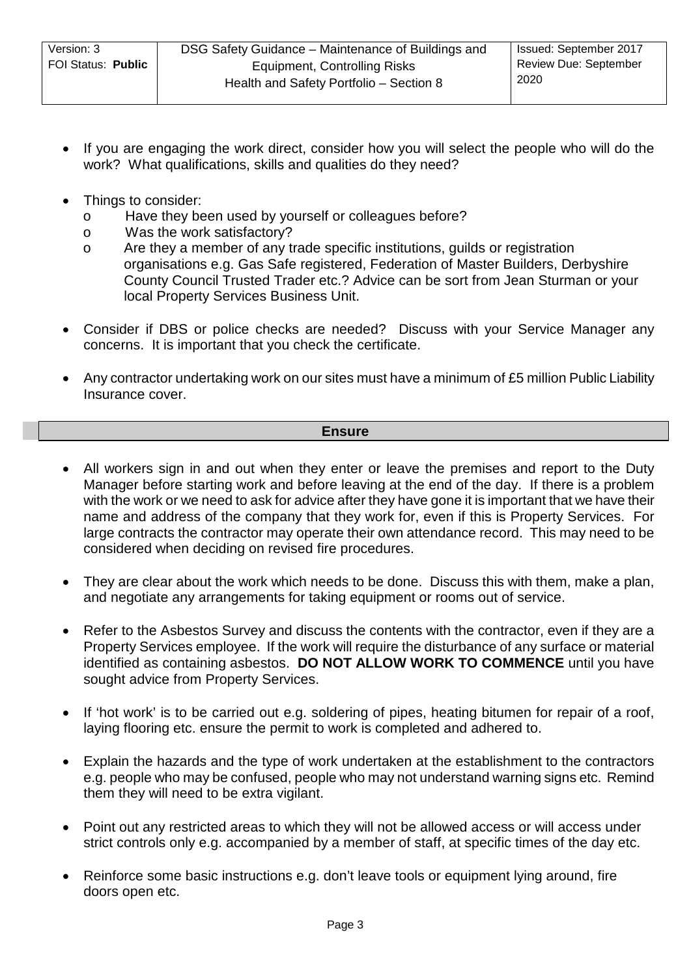- If you are engaging the work direct, consider how you will select the people who will do the work? What qualifications, skills and qualities do they need?
- Things to consider:
	- o Have they been used by yourself or colleagues before?
	- o Was the work satisfactory?<br>
	o Are they a member of any time
	- Are they a member of any trade specific institutions, guilds or registration organisations e.g. Gas Safe registered, Federation of Master Builders, Derbyshire County Council Trusted Trader etc.? Advice can be sort from Jean Sturman or your local Property Services Business Unit.
- Consider if DBS or police checks are needed? Discuss with your Service Manager any concerns. It is important that you check the certificate.
- Any contractor undertaking work on our sites must have a minimum of £5 million Public Liability Insurance cover.

### **Ensure**

- All workers sign in and out when they enter or leave the premises and report to the Duty Manager before starting work and before leaving at the end of the day. If there is a problem with the work or we need to ask for advice after they have gone it is important that we have their name and address of the company that they work for, even if this is Property Services. For large contracts the contractor may operate their own attendance record. This may need to be considered when deciding on revised fire procedures.
- They are clear about the work which needs to be done. Discuss this with them, make a plan, and negotiate any arrangements for taking equipment or rooms out of service.
- Refer to the Asbestos Survey and discuss the contents with the contractor, even if they are a Property Services employee. If the work will require the disturbance of any surface or material identified as containing asbestos. **DO NOT ALLOW WORK TO COMMENCE** until you have sought advice from Property Services.
- If 'hot work' is to be carried out e.g. soldering of pipes, heating bitumen for repair of a roof, laying flooring etc. ensure the permit to work is completed and adhered to.
- Explain the hazards and the type of work undertaken at the establishment to the contractors e.g. people who may be confused, people who may not understand warning signs etc. Remind them they will need to be extra vigilant.
- Point out any restricted areas to which they will not be allowed access or will access under strict controls only e.g. accompanied by a member of staff, at specific times of the day etc.
- Reinforce some basic instructions e.g. don't leave tools or equipment lying around, fire doors open etc.